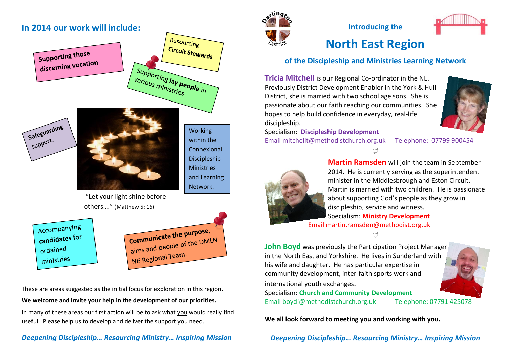# **In 2014 our work will include:**







Working within the Connexional Discipleship **Ministries** and Learning Network.

"Let your light shine before others…." (Matthew 5: 16)

Accompanying candidates for ordained ministries



These are areas suggested as the initial focus for exploration in this region.

#### **We welcome and invite your help in the development of our priorities.**

In many of these areas our first action will be to ask what you would really find useful. Please help us to develop and deliver the support you need.

#### *Deepening Discipleship… Resourcing Ministry… Inspiring Mission*



**Introducing the** 

# **North East Region**

## **of the Discipleship and Ministries Learning Network**

Ŋ

**Tricia Mitchell** is our Regional Co-ordinator in the NE. Previously District Development Enabler in the York & Hull District, she is married with two school age sons. She is passionate about our faith reaching our communities. She hopes to help build confidence in everyday, real-life discipleship.

Specialism: **Discipleship Development** Email [mitchellt@methodistchurch.org.uk](mailto:mitchellt@methodistchurch.org.uk) Telephone: 07799 900454



**Martin Ramsden** will join the team in September 2014. He is currently serving as the superintendent minister in the Middlesbrough and Eston Circuit. Martin is married with two children. He is passionate about supporting God's people as they grow in discipleship, service and witness. Specialism: **Ministry Development** Email [martin.ramsden@methodist.org.uk](mailto:martin.ramsden@methodist.org.uk)

Y **John Boyd** was previously the Participation Project Manager in the North East and Yorkshire. He lives in Sunderland with his wife and daughter. He has particular expertise in community development, inter-faith sports work and



Specialism: **Church and Community Development** Email [boydj@methodistchurch.org.uk](mailto:boydj@methodistchurch.org.uk) Telephone: 07791 425078

international youth exchanges.

**We all look forward to meeting you and working with you.**

*Deepening Discipleship… Resourcing Ministry… Inspiring Mission*